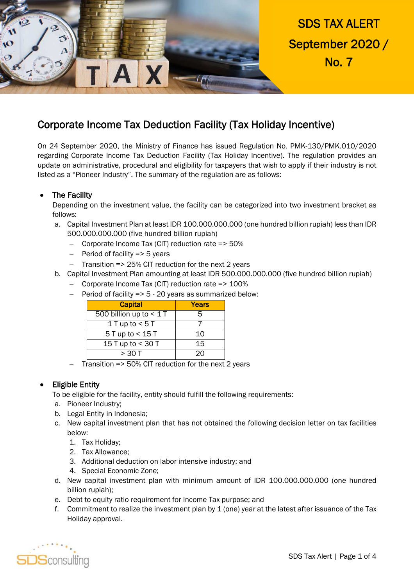

SDS TAX ALERT September 2020 / No. 7

# Corporate Income Tax Deduction Facility (Tax Holiday Incentive)

On 24 September 2020, the Ministry of Finance has issued Regulation No. PMK-130/PMK.010/2020 regarding Corporate Income Tax Deduction Facility (Tax Holiday Incentive). The regulation provides an update on administrative, procedural and eligibility for taxpayers that wish to apply if their industry is not listed as a "Pioneer Industry". The summary of the regulation are as follows:

# • The Facility

Depending on the investment value, the facility can be categorized into two investment bracket as follows:

- a. Capital Investment Plan at least IDR 100.000.000.000 (one hundred billion rupiah) less than IDR 500.000.000.000 (five hundred billion rupiah)
	- Corporate Income Tax (CIT) reduction rate => 50%
	- $-$  Period of facility  $=$  > 5 years
	- $-$  Transition => 25% CIT reduction for the next 2 years
- b. Capital Investment Plan amounting at least IDR 500.000.000.000 (five hundred billion rupiah)
	- Corporate Income Tax (CIT) reduction rate => 100%
	- $-$  Period of facility =  $> 5 20$  years as summarized below:

| <b>Capital</b>            | Years |
|---------------------------|-------|
| 500 billion up to $< 1$ T |       |
| 1 T up to $<$ 5 T         |       |
| $5$ T up to $<$ 15 T      | 10    |
| 15 T up to < 30 T         | 15    |
| > 30 T                    |       |

Transition => 50% CIT reduction for the next 2 years

# Eligible Entity

To be eligible for the facility, entity should fulfill the following requirements:

- a. Pioneer Industry;
- b. Legal Entity in Indonesia;
- c. New capital investment plan that has not obtained the following decision letter on tax facilities below:
	- 1. Tax Holiday;
	- 2. Tax Allowance;
	- 3. Additional deduction on labor intensive industry; and
	- 4. Special Economic Zone;
- d. New capital investment plan with minimum amount of IDR 100.000.000.000 (one hundred billion rupiah);
- e. Debt to equity ratio requirement for Income Tax purpose; and
- f. Commitment to realize the investment plan by 1 (one) year at the latest after issuance of the Tax Holiday approval.

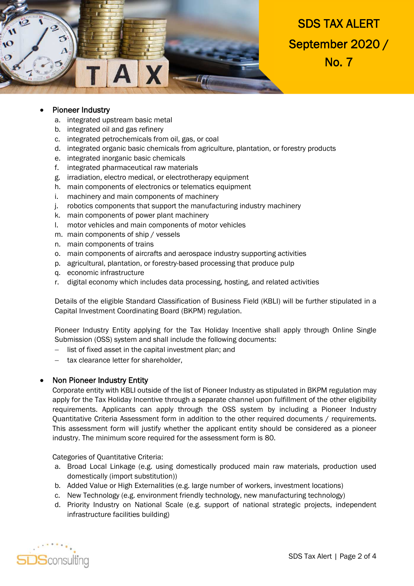

## Pioneer Industry

- a. integrated upstream basic metal
- b. integrated oil and gas refinery
- c. integrated petrochemicals from oil, gas, or coal
- d. integrated organic basic chemicals from agriculture, plantation, or forestry products
- e. integrated inorganic basic chemicals
- f. integrated pharmaceutical raw materials
- g. irradiation, electro medical, or electrotherapy equipment
- h. main components of electronics or telematics equipment
- i. machinery and main components of machinery
- j. robotics components that support the manufacturing industry machinery
- k. main components of power plant machinery
- l. motor vehicles and main components of motor vehicles
- m. main components of ship / vessels
- n. main components of trains
- o. main components of aircrafts and aerospace industry supporting activities
- p. agricultural, plantation, or forestry-based processing that produce pulp
- q. economic infrastructure
- r. digital economy which includes data processing, hosting, and related activities

Details of the eligible Standard Classification of Business Field (KBLI) will be further stipulated in a Capital Investment Coordinating Board (BKPM) regulation.

Pioneer Industry Entity applying for the Tax Holiday Incentive shall apply through Online Single Submission (OSS) system and shall include the following documents:

- list of fixed asset in the capital investment plan; and
- tax clearance letter for shareholder,

#### • Non Pioneer Industry Entity

Corporate entity with KBLI outside of the list of Pioneer Industry as stipulated in BKPM regulation may apply for the Tax Holiday Incentive through a separate channel upon fulfillment of the other eligibility requirements. Applicants can apply through the OSS system by including a Pioneer Industry Quantitative Criteria Assessment form in addition to the other required documents / requirements. This assessment form will justify whether the applicant entity should be considered as a pioneer industry. The minimum score required for the assessment form is 80.

Categories of Quantitative Criteria:

- a. Broad Local Linkage (e.g. using domestically produced main raw materials, production used domestically (import substitution))
- b. Added Value or High Externalities (e.g. large number of workers, investment locations)
- c. New Technology (e.g. environment friendly technology, new manufacturing technology)
- d. Priority Industry on National Scale (e.g. support of national strategic projects, independent infrastructure facilities building)

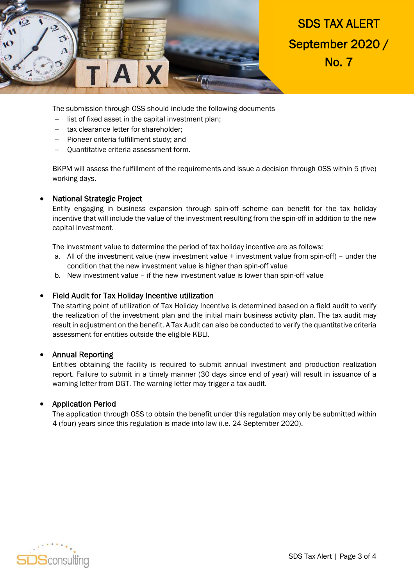

SDS TAX ALERT September 2020 / No. 7

The submission through OSS should include the following documents

- list of fixed asset in the capital investment plan;
- tax clearance letter for shareholder;
- Pioneer criteria fulfillment study; and
- Quantitative criteria assessment form.

BKPM will assess the fulfillment of the requirements and issue a decision through OSS within 5 (five) working days.

### • National Strategic Project

Entity engaging in business expansion through spin-off scheme can benefit for the tax holiday incentive that will include the value of the investment resulting from the spin-off in addition to the new capital investment.

The investment value to determine the period of tax holiday incentive are as follows:

- a. All of the investment value (new investment value + investment value from spin-off) under the condition that the new investment value is higher than spin-off value
- b. New investment value if the new investment value is lower than spin-off value

#### Field Audit for Tax Holiday Incentive utilization

The starting point of utilization of Tax Holiday Incentive is determined based on a field audit to verify the realization of the investment plan and the initial main business activity plan. The tax audit may result in adjustment on the benefit. A Tax Audit can also be conducted to verify the quantitative criteria assessment for entities outside the eligible KBLI.

#### Annual Reporting

Entities obtaining the facility is required to submit annual investment and production realization report. Failure to submit in a timely manner (30 days since end of year) will result in issuance of a warning letter from DGT. The warning letter may trigger a tax audit.

#### Application Period

The application through OSS to obtain the benefit under this regulation may only be submitted within 4 (four) years since this regulation is made into law (i.e. 24 September 2020).